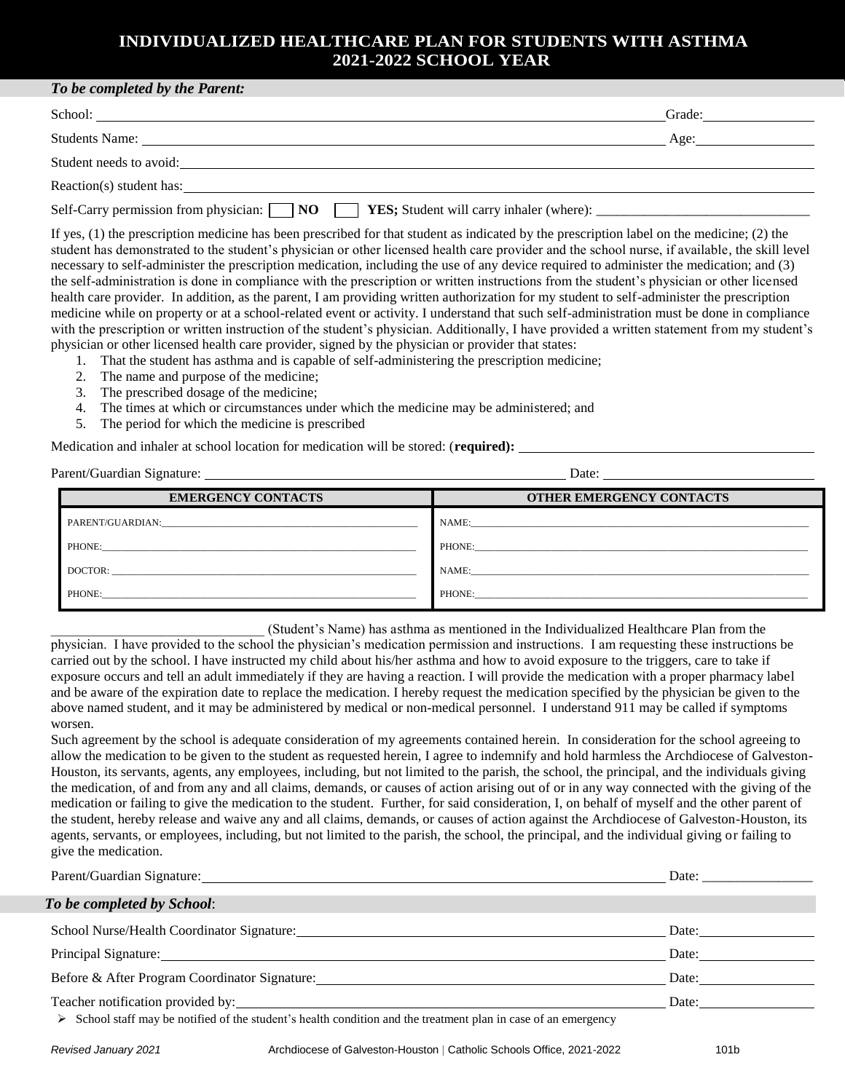## **INDIVIDUALIZED HEALTHCARE PLAN FOR STUDENTS WITH ASTHMA 2021-2022 SCHOOL YEAR**

| To be completed by the Parent:                                                                                                                                                                                                 |        |  |
|--------------------------------------------------------------------------------------------------------------------------------------------------------------------------------------------------------------------------------|--------|--|
|                                                                                                                                                                                                                                | Grade: |  |
| Students Name: Name and the state of the state of the state of the state of the state of the state of the state of the state of the state of the state of the state of the state of the state of the state of the state of the | Age:   |  |
| Student needs to avoid:                                                                                                                                                                                                        |        |  |
| Reaction(s) student has:                                                                                                                                                                                                       |        |  |
| Self-Carry permission from physician: NO                                                                                                                                                                                       |        |  |

If yes, (1) the prescription medicine has been prescribed for that student as indicated by the prescription label on the medicine; (2) the student has demonstrated to the student's physician or other licensed health care provider and the school nurse, if available, the skill level necessary to self-administer the prescription medication, including the use of any device required to administer the medication; and (3) the self-administration is done in compliance with the prescription or written instructions from the student's physician or other licensed health care provider. In addition, as the parent, I am providing written authorization for my student to self-administer the prescription medicine while on property or at a school-related event or activity. I understand that such self-administration must be done in compliance with the prescription or written instruction of the student's physician. Additionally, I have provided a written statement from my student's physician or other licensed health care provider, signed by the physician or provider that states:

- 1. That the student has asthma and is capable of self-administering the prescription medicine;
- 2. The name and purpose of the medicine;
- 3. The prescribed dosage of the medicine;
- 4. The times at which or circumstances under which the medicine may be administered; and
- 5. The period for which the medicine is prescribed

Medication and inhaler at school location for medication will be stored: (**required):** 

Parent/Guardian Signature: Date:

| ຼ                         |                                 |  |  |  |
|---------------------------|---------------------------------|--|--|--|
| <b>EMERGENCY CONTACTS</b> | <b>OTHER EMERGENCY CONTACTS</b> |  |  |  |
| PARENT/GUARDIAN:          | NAME:                           |  |  |  |
| PHONE:                    | PHONE:                          |  |  |  |
| DOCTOR:                   | NAME:                           |  |  |  |
| PHONE:                    | PHONE:                          |  |  |  |

\_\_\_\_\_\_\_\_\_\_\_\_\_\_\_\_\_\_\_\_\_\_\_\_\_\_\_\_\_\_\_ (Student's Name) has asthma as mentioned in the Individualized Healthcare Plan from the

physician. I have provided to the school the physician's medication permission and instructions. I am requesting these instructions be carried out by the school. I have instructed my child about his/her asthma and how to avoid exposure to the triggers, care to take if exposure occurs and tell an adult immediately if they are having a reaction. I will provide the medication with a proper pharmacy label and be aware of the expiration date to replace the medication. I hereby request the medication specified by the physician be given to the above named student, and it may be administered by medical or non-medical personnel. I understand 911 may be called if symptoms worsen.

Such agreement by the school is adequate consideration of my agreements contained herein. In consideration for the school agreeing to allow the medication to be given to the student as requested herein, I agree to indemnify and hold harmless the Archdiocese of Galveston-Houston, its servants, agents, any employees, including, but not limited to the parish, the school, the principal, and the individuals giving the medication, of and from any and all claims, demands, or causes of action arising out of or in any way connected with the giving of the medication or failing to give the medication to the student. Further, for said consideration, I, on behalf of myself and the other parent of the student, hereby release and waive any and all claims, demands, or causes of action against the Archdiocese of Galveston-Houston, its agents, servants, or employees, including, but not limited to the parish, the school, the principal, and the individual giving or failing to give the medication.

|                                                                                                                                | Date: |  |
|--------------------------------------------------------------------------------------------------------------------------------|-------|--|
| To be completed by School:                                                                                                     |       |  |
|                                                                                                                                | Date: |  |
|                                                                                                                                | Date: |  |
| Before & After Program Coordinator Signature:                                                                                  | Date: |  |
|                                                                                                                                | Date: |  |
| $\triangleright$ School staff may be notified of the student's health condition and the treatment plan in case of an emergency |       |  |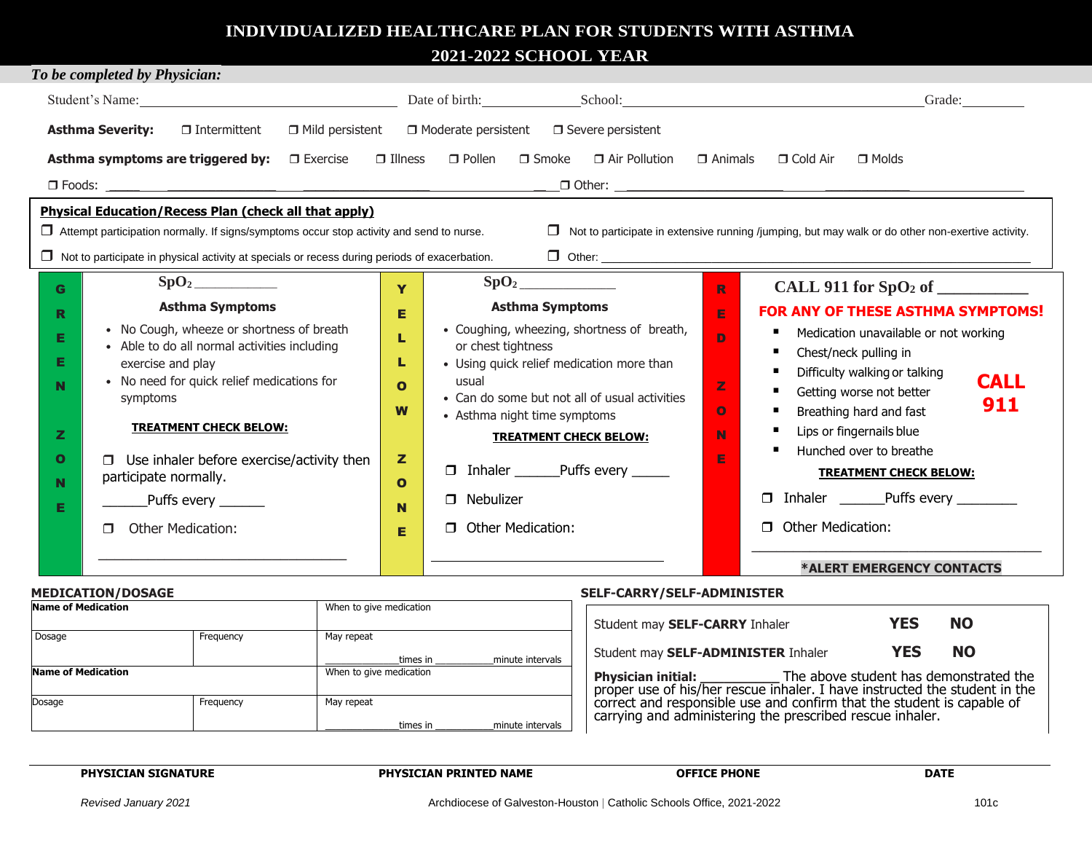# **INDIVIDUALIZED HEALTHCARE PLAN FOR STUDENTS WITH ASTHMA**

**2021-2022 SCHOOL YEAR**

| To be completed by Physician:                                                                                                                                                                                                                                                                                                                                                                    |                                                 |                                                                                                                                                                                                                                                                                                                                                                                  |                                                               |                                                                                                                                                                                                                                                                                                                                                                                                            |  |  |
|--------------------------------------------------------------------------------------------------------------------------------------------------------------------------------------------------------------------------------------------------------------------------------------------------------------------------------------------------------------------------------------------------|-------------------------------------------------|----------------------------------------------------------------------------------------------------------------------------------------------------------------------------------------------------------------------------------------------------------------------------------------------------------------------------------------------------------------------------------|---------------------------------------------------------------|------------------------------------------------------------------------------------------------------------------------------------------------------------------------------------------------------------------------------------------------------------------------------------------------------------------------------------------------------------------------------------------------------------|--|--|
| Student's Name: <u>Containing the School</u> Date of birth: Containing School: Containing School:                                                                                                                                                                                                                                                                                                |                                                 |                                                                                                                                                                                                                                                                                                                                                                                  |                                                               | Grade:                                                                                                                                                                                                                                                                                                                                                                                                     |  |  |
| $\Box$ Mild persistent<br>$\Box$ Moderate persistent $\Box$ Severe persistent<br><b>Asthma Severity:</b><br>$\Box$ Intermittent                                                                                                                                                                                                                                                                  |                                                 |                                                                                                                                                                                                                                                                                                                                                                                  |                                                               |                                                                                                                                                                                                                                                                                                                                                                                                            |  |  |
| $\Box$ Air Pollution $\Box$ Animals<br>Asthma symptoms are triggered by:<br>$\Box$ Illness<br>$\Box$ Pollen<br>$\Box$ Smoke<br>$\Box$ Molds<br>$\Box$ Exercise<br>$\Box$ Cold Air                                                                                                                                                                                                                |                                                 |                                                                                                                                                                                                                                                                                                                                                                                  |                                                               |                                                                                                                                                                                                                                                                                                                                                                                                            |  |  |
|                                                                                                                                                                                                                                                                                                                                                                                                  |                                                 |                                                                                                                                                                                                                                                                                                                                                                                  |                                                               |                                                                                                                                                                                                                                                                                                                                                                                                            |  |  |
| <b>Physical Education/Recess Plan (check all that apply)</b><br>$\Box$ Attempt participation normally. If signs/symptoms occur stop activity and send to nurse.<br>$\Box$ Not to participate in extensive running /jumping, but may walk or do other non-exertive activity.<br>$\Box$ Not to participate in physical activity at specials or recess during periods of exacerbation.              |                                                 |                                                                                                                                                                                                                                                                                                                                                                                  |                                                               |                                                                                                                                                                                                                                                                                                                                                                                                            |  |  |
| G.<br><b>Asthma Symptoms</b><br>R<br>• No Cough, wheeze or shortness of breath<br>Е<br>• Able to do all normal activities including<br>Е<br>exercise and play<br>• No need for quick relief medications for<br>N<br>symptoms<br><b>TREATMENT CHECK BELOW:</b><br>z<br>O<br>Use inhaler before exercise/activity then<br>participate normally.<br>N<br>Puffs every<br>Е<br>Other Medication:<br>п | Ÿ<br>Е<br>O<br>W<br>z<br>$\mathbf{o}$<br>N<br>Е | SpO <sub>2</sub><br><b>Asthma Symptoms</b><br>• Coughing, wheezing, shortness of breath,<br>or chest tightness<br>• Using quick relief medication more than<br>usual<br>• Can do some but not all of usual activities<br>• Asthma night time symptoms<br><b>TREATMENT CHECK BELOW:</b><br><b>D</b> Inhaler ________Puffs every ______<br><b>D</b> Nebulizer<br>Other Medication: | $\mathbb{R}$<br>E<br>D<br>$\mathbb{Z}$<br>$\Omega$<br>N.<br>E | <b>FOR ANY OF THESE ASTHMA SYMPTOMS!</b><br>Medication unavailable or not working<br>Chest/neck pulling in<br>Difficulty walking or talking<br><b>CALL</b><br>Getting worse not better<br>911<br>Breathing hard and fast<br>Lips or fingernails blue<br>Hunched over to breathe<br>п.<br><b>TREATMENT CHECK BELOW:</b><br>□ Inhaler __________Puffs every __________<br><b>Other Medication:</b><br>$\Box$ |  |  |
|                                                                                                                                                                                                                                                                                                                                                                                                  |                                                 |                                                                                                                                                                                                                                                                                                                                                                                  |                                                               | *ALERT EMERGENCY CONTACTS                                                                                                                                                                                                                                                                                                                                                                                  |  |  |

#### **MEDICATION/DOSAGE SELF-CARRY/SELF-ADMINISTER**

| . .=====. = <del>.</del> <i>, =</i> |           | ---- --------------------- |                  |                                                                                                                                                   |  |
|-------------------------------------|-----------|----------------------------|------------------|---------------------------------------------------------------------------------------------------------------------------------------------------|--|
| <b>Name of Medication</b>           |           | When to give medication    |                  | <b>NO</b><br>YES<br>Student may SELF-CARRY Inhaler                                                                                                |  |
| Dosage                              | Frequency | May repeat                 |                  |                                                                                                                                                   |  |
|                                     |           | times in                   | minute intervals | <b>NO</b><br>YES<br>Student may SELF-ADMINISTER Inhaler                                                                                           |  |
| Name of Medication                  |           | When to give medication    |                  | The above student has demonstrated the<br><b>Physician initial:</b><br>proper use of his/her rescue inhaler. I have instructed the student in the |  |
| Dosage                              | Frequency | May repeat                 |                  | correct and responsible use and confirm that the student is capable of                                                                            |  |
|                                     |           | times in                   | minute intervals | carrying and administering the prescribed rescue inhaler.                                                                                         |  |

**PHYSICIAN SIGNATURE PHYSICIAN PRINTED NAME OFFICE PHONE DATE**